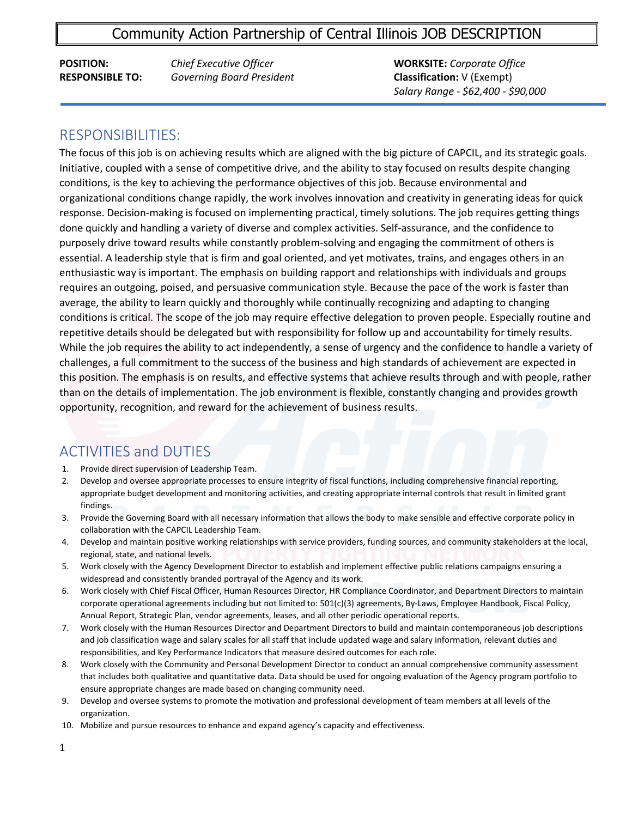### Community Action Partnership of Central Illinois JOB DESCRIPTION

**POSITION:** *Chief Executive Officer* **WORKSITE:** *Corporate Office* **RESPONSIBLE TO:** *Governing Board President* **Classification:** V (Exempt)

*Salary Range - \$62,400 - \$90,000*

#### RESPONSIBILITIES:

ľ

The focus of this job is on achieving results which are aligned with the big picture of CAPCIL, and its strategic goals. Initiative, coupled with a sense of competitive drive, and the ability to stay focused on results despite changing conditions, is the key to achieving the performance objectives of this job. Because environmental and organizational conditions change rapidly, the work involves innovation and creativity in generating ideas for quick response. Decision-making is focused on implementing practical, timely solutions. The job requires getting things done quickly and handling a variety of diverse and complex activities. Self-assurance, and the confidence to purposely drive toward results while constantly problem-solving and engaging the commitment of others is essential. A leadership style that is firm and goal oriented, and yet motivates, trains, and engages others in an enthusiastic way is important. The emphasis on building rapport and relationships with individuals and groups requires an outgoing, poised, and persuasive communication style. Because the pace of the work is faster than average, the ability to learn quickly and thoroughly while continually recognizing and adapting to changing conditions is critical. The scope of the job may require effective delegation to proven people. Especially routine and repetitive details should be delegated but with responsibility for follow up and accountability for timely results. While the job requires the ability to act independently, a sense of urgency and the confidence to handle a variety of challenges, a full commitment to the success of the business and high standards of achievement are expected in this position. The emphasis is on results, and effective systems that achieve results through and with people, rather than on the details of implementation. The job environment is flexible, constantly changing and provides growth opportunity, recognition, and reward for the achievement of business results.

## ACTIVITIES and DUTIES

- 1. Provide direct supervision of Leadership Team.
- 2. Develop and oversee appropriate processes to ensure integrity of fiscal functions, including comprehensive financial reporting, appropriate budget development and monitoring activities, and creating appropriate internal controls that result in limited grant findings.
- 3. Provide the Governing Board with all necessary information that allows the body to make sensible and effective corporate policy in collaboration with the CAPCIL Leadership Team.
- 4. Develop and maintain positive working relationships with service providers, funding sources, and community stakeholders at the local, regional, state, and national levels.
- 5. Work closely with the Agency Development Director to establish and implement effective public relations campaigns ensuring a widespread and consistently branded portrayal of the Agency and its work.
- 6. Work closely with Chief Fiscal Officer, Human Resources Director, HR Compliance Coordinator, and Department Directors to maintain corporate operational agreements including but not limited to: 501(c)(3) agreements, By-Laws, Employee Handbook, Fiscal Policy, Annual Report, Strategic Plan, vendor agreements, leases, and all other periodic operational reports.
- 7. Work closely with the Human Resources Director and Department Directors to build and maintain contemporaneous job descriptions and job classification wage and salary scales for all staff that include updated wage and salary information, relevant duties and responsibilities, and Key Performance Indicators that measure desired outcomes for each role.
- 8. Work closely with the Community and Personal Development Director to conduct an annual comprehensive community assessment that includes both qualitative and quantitative data. Data should be used for ongoing evaluation of the Agency program portfolio to ensure appropriate changes are made based on changing community need.
- 9. Develop and oversee systems to promote the motivation and professional development of team members at all levels of the organization.
- 10. Mobilize and pursue resources to enhance and expand agency's capacity and effectiveness.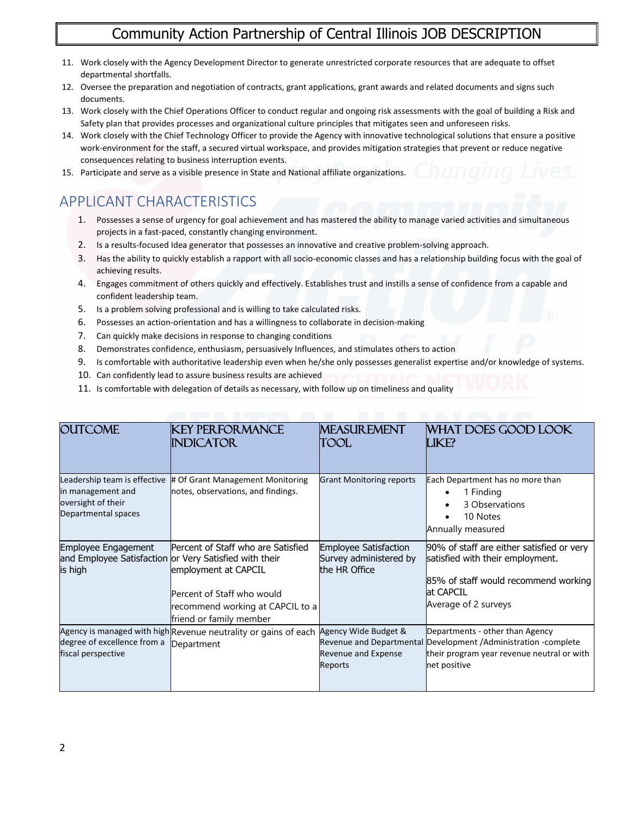## Community Action Partnership of Central Illinois JOB DESCRIPTION

- 11. Work closely with the Agency Development Director to generate unrestricted corporate resources that are adequate to offset departmental shortfalls.
- 12. Oversee the preparation and negotiation of contracts, grant applications, grant awards and related documents and signs such documents.
- 13. Work closely with the Chief Operations Officer to conduct regular and ongoing risk assessments with the goal of building a Risk and Safety plan that provides processes and organizational culture principles that mitigates seen and unforeseen risks.
- 14. Work closely with the Chief Technology Officer to provide the Agency with innovative technological solutions that ensure a positive work-environment for the staff, a secured virtual workspace, and provides mitigation strategies that prevent or reduce negative consequences relating to business interruption events.
- 15. Participate and serve as a visible presence in State and National affiliate organizations.

# APPLICANT CHARACTERISTICS

- 1. Possesses a sense of urgency for goal achievement and has mastered the ability to manage varied activities and simultaneous projects in a fast-paced, constantly changing environment.
- 2. Is a results-focused Idea generator that possesses an innovative and creative problem-solving approach.
- 3. Has the ability to quickly establish a rapport with all socio-economic classes and has a relationship building focus with the goal of achieving results.
- 4. Engages commitment of others quickly and effectively. Establishes trust and instills a sense of confidence from a capable and confident leadership team.
- 5. Is a problem solving professional and is willing to take calculated risks.
- 6. Possesses an action-orientation and has a willingness to collaborate in decision-making
- 7. Can quickly make decisions in response to changing conditions
- 8. Demonstrates confidence, enthusiasm, persuasively Influences, and stimulates others to action
- 9. Is comfortable with authoritative leadership even when he/she only possesses generalist expertise and/or knowledge of systems.
- 10. Can confidently lead to assure business results are achieved
- 11. Is comfortable with delegation of details as necessary, with follow up on timeliness and quality

| <b>OUTCOME</b>                                                                                 | KEY PERFORMANCE<br><b>INDICATOR</b>                                                                                                                                                                               | <b>MEASUREMENT</b><br>TOOL                                              | WHAT DOES GOOD LOOK<br>LIKE?                                                                                                                                      |
|------------------------------------------------------------------------------------------------|-------------------------------------------------------------------------------------------------------------------------------------------------------------------------------------------------------------------|-------------------------------------------------------------------------|-------------------------------------------------------------------------------------------------------------------------------------------------------------------|
| Leadership team is effective<br>in management and<br>oversight of their<br>Departmental spaces | # Of Grant Management Monitoring<br>notes, observations, and findings.                                                                                                                                            | <b>Grant Monitoring reports</b>                                         | Each Department has no more than<br>1 Finding<br>3 Observations<br>10 Notes<br>Annually measured                                                                  |
| <b>Employee Engagement</b><br>is high                                                          | Percent of Staff who are Satisfied<br>and Employee Satisfaction or Very Satisfied with their<br>employment at CAPCIL<br>Percent of Staff who would<br>recommend working at CAPCIL to a<br>friend or family member | <b>Employee Satisfaction</b><br>Survey administered by<br>the HR Office | 90% of staff are either satisfied or very<br>satisfied with their employment.<br>85% of staff would recommend working<br>at CAPCIL<br>Average of 2 surveys        |
| degree of excellence from a<br>fiscal perspective                                              | Agency is managed with high Revenue neutrality or gains of each<br>Department                                                                                                                                     | Agency Wide Budget &<br>Revenue and Expense<br>Reports                  | Departments - other than Agency<br>Revenue and Departmental Development / Administration - complete<br>their program year revenue neutral or with<br>net positive |